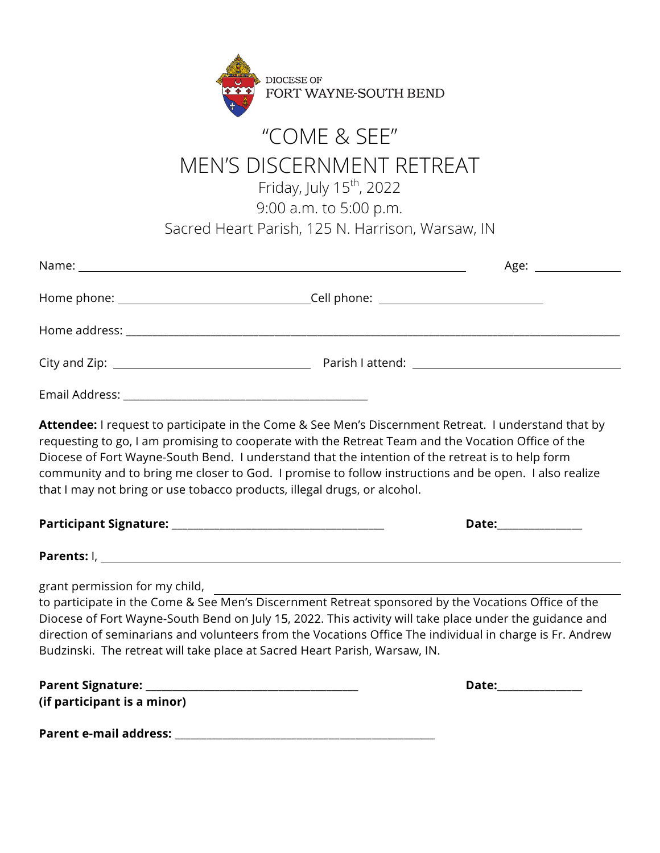

## "COME & SEE" MEN'S DISCERNMENT RETREAT

Friday, July 15<sup>th</sup>, 2022

9:00 a.m. to 5:00 p.m.

Sacred Heart Parish, 125 N. Harrison, Warsaw, IN

|                                                                                                                                                                                                                                                                                                                                                                                                                                                                                                     | Age:                                                                                                                                                                                                                                                                                                                       |  |
|-----------------------------------------------------------------------------------------------------------------------------------------------------------------------------------------------------------------------------------------------------------------------------------------------------------------------------------------------------------------------------------------------------------------------------------------------------------------------------------------------------|----------------------------------------------------------------------------------------------------------------------------------------------------------------------------------------------------------------------------------------------------------------------------------------------------------------------------|--|
|                                                                                                                                                                                                                                                                                                                                                                                                                                                                                                     |                                                                                                                                                                                                                                                                                                                            |  |
|                                                                                                                                                                                                                                                                                                                                                                                                                                                                                                     |                                                                                                                                                                                                                                                                                                                            |  |
|                                                                                                                                                                                                                                                                                                                                                                                                                                                                                                     |                                                                                                                                                                                                                                                                                                                            |  |
|                                                                                                                                                                                                                                                                                                                                                                                                                                                                                                     |                                                                                                                                                                                                                                                                                                                            |  |
| Attendee: I request to participate in the Come & See Men's Discernment Retreat. I understand that by<br>requesting to go, I am promising to cooperate with the Retreat Team and the Vocation Office of the<br>Diocese of Fort Wayne-South Bend. I understand that the intention of the retreat is to help form<br>community and to bring me closer to God. I promise to follow instructions and be open. I also realize<br>that I may not bring or use tobacco products, illegal drugs, or alcohol. |                                                                                                                                                                                                                                                                                                                            |  |
|                                                                                                                                                                                                                                                                                                                                                                                                                                                                                                     | Date:______________                                                                                                                                                                                                                                                                                                        |  |
|                                                                                                                                                                                                                                                                                                                                                                                                                                                                                                     |                                                                                                                                                                                                                                                                                                                            |  |
| grant permission for my child,                                                                                                                                                                                                                                                                                                                                                                                                                                                                      |                                                                                                                                                                                                                                                                                                                            |  |
| Budzinski. The retreat will take place at Sacred Heart Parish, Warsaw, IN.                                                                                                                                                                                                                                                                                                                                                                                                                          | to participate in the Come & See Men's Discernment Retreat sponsored by the Vocations Office of the<br>Diocese of Fort Wayne-South Bend on July 15, 2022. This activity will take place under the guidance and<br>direction of seminarians and volunteers from the Vocations Office The individual in charge is Fr. Andrew |  |
|                                                                                                                                                                                                                                                                                                                                                                                                                                                                                                     | Date:______________                                                                                                                                                                                                                                                                                                        |  |
| (if participant is a minor)                                                                                                                                                                                                                                                                                                                                                                                                                                                                         |                                                                                                                                                                                                                                                                                                                            |  |
|                                                                                                                                                                                                                                                                                                                                                                                                                                                                                                     |                                                                                                                                                                                                                                                                                                                            |  |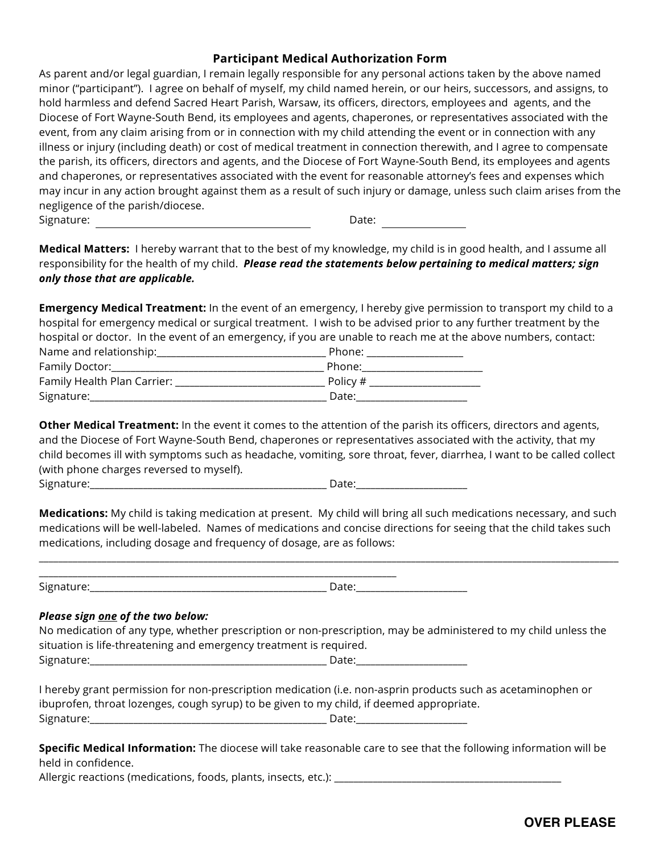## **Participant Medical Authorization Form**

As parent and/or legal guardian, I remain legally responsible for any personal actions taken by the above named minor ("participant"). I agree on behalf of myself, my child named herein, or our heirs, successors, and assigns, to hold harmless and defend Sacred Heart Parish, Warsaw, its officers, directors, employees and agents, and the Diocese of Fort Wayne-South Bend, its employees and agents, chaperones, or representatives associated with the event, from any claim arising from or in connection with my child attending the event or in connection with any illness or injury (including death) or cost of medical treatment in connection therewith, and I agree to compensate the parish, its officers, directors and agents, and the Diocese of Fort Wayne-South Bend, its employees and agents and chaperones, or representatives associated with the event for reasonable attorney's fees and expenses which may incur in any action brought against them as a result of such injury or damage, unless such claim arises from the negligence of the parish/diocese. Signature: Date: Date: Date: Date: Date: Date: Date: Date: Date: Date: Date: Date: Date: Date: Date: Date: Date: Date: Date: Date: Date: Date: Date: Date: Date: Date: Date: Date: Date: Date: Date: Date: Date: Date: Date: D

**Medical Matters:** I hereby warrant that to the best of my knowledge, my child is in good health, and I assume all responsibility for the health of my child. *Please read the statements below pertaining to medical matters; sign only those that are applicable.*

**Emergency Medical Treatment:** In the event of an emergency, I hereby give permission to transport my child to a hospital for emergency medical or surgical treatment. I wish to be advised prior to any further treatment by the hospital or doctor. In the event of an emergency, if you are unable to reach me at the above numbers, contact: Name and relationship:\_\_\_\_\_\_\_\_\_\_\_\_\_\_\_\_\_\_\_\_\_\_\_\_\_\_\_\_\_\_\_\_\_\_\_ Phone: \_\_\_\_\_\_\_\_\_\_\_\_\_\_\_\_\_\_\_\_ Family Doctor:\_\_\_\_\_\_\_\_\_\_\_\_\_\_\_\_\_\_\_\_\_\_\_\_\_\_\_\_\_\_\_\_\_\_\_\_\_\_\_\_\_\_\_\_ Phone:\_\_\_\_\_\_\_\_\_\_\_\_\_\_\_\_\_\_\_\_\_\_\_\_\_ Family Health Plan Carrier: \_\_\_\_\_\_\_\_\_\_\_\_\_\_\_\_\_\_\_\_\_\_\_\_\_\_\_\_\_\_\_ Policy # \_\_\_\_\_\_\_\_\_\_\_\_\_\_\_\_\_\_\_\_\_\_\_

**Other Medical Treatment:** In the event it comes to the attention of the parish its officers, directors and agents, and the Diocese of Fort Wayne-South Bend, chaperones or representatives associated with the activity, that my child becomes ill with symptoms such as headache, vomiting, sore throat, fever, diarrhea, I want to be called collect (with phone charges reversed to myself).

| $\overline{\phantom{a}}$<br>٦١٤ | - |
|---------------------------------|---|
|                                 |   |

Signature:\_\_\_\_\_\_\_\_\_\_\_\_\_\_\_\_\_\_\_\_\_\_\_\_\_\_\_\_\_\_\_\_\_\_\_\_\_\_\_\_\_\_\_\_\_\_\_\_\_ Date:\_\_\_\_\_\_\_\_\_\_\_\_\_\_\_\_\_\_\_\_\_\_\_

**Medications:** My child is taking medication at present. My child will bring all such medications necessary, and such medications will be well-labeled. Names of medications and concise directions for seeing that the child takes such medications, including dosage and frequency of dosage, are as follows:

\_\_\_\_\_\_\_\_\_\_\_\_\_\_\_\_\_\_\_\_\_\_\_\_\_\_\_\_\_\_\_\_\_\_\_\_\_\_\_\_\_\_\_\_\_\_\_\_\_\_\_\_\_\_\_\_\_\_\_\_\_\_\_\_\_\_\_\_\_\_\_\_\_\_\_\_\_\_\_\_\_\_\_\_\_\_\_\_\_\_\_\_\_\_\_\_\_\_\_\_\_\_\_\_\_\_\_\_\_\_\_\_\_\_\_\_\_\_\_\_

Signature:\_\_\_\_\_\_\_\_\_\_\_\_\_\_\_\_\_\_\_\_\_\_\_\_\_\_\_\_\_\_\_\_\_\_\_\_\_\_\_\_\_\_\_\_\_\_\_\_\_ Date:\_\_\_\_\_\_\_\_\_\_\_\_\_\_\_\_\_\_\_\_\_\_\_

## *Please sign one of the two below:*

No medication of any type, whether prescription or non-prescription, may be administered to my child unless the situation is life-threatening and emergency treatment is required.

Signature:\_\_\_\_\_\_\_\_\_\_\_\_\_\_\_\_\_\_\_\_\_\_\_\_\_\_\_\_\_\_\_\_\_\_\_\_\_\_\_\_\_\_\_\_\_\_\_\_\_ Date:\_\_\_\_\_\_\_\_\_\_\_\_\_\_\_\_\_\_\_\_\_\_\_

\_\_\_\_\_\_\_\_\_\_\_\_\_\_\_\_\_\_\_\_\_\_\_\_\_\_\_\_\_\_\_\_\_\_\_\_\_\_\_\_\_\_\_\_\_\_\_\_\_\_\_\_\_\_\_\_\_\_\_\_\_\_\_\_\_\_\_\_\_\_\_\_\_\_

I hereby grant permission for non-prescription medication (i.e. non-asprin products such as acetaminophen or ibuprofen, throat lozenges, cough syrup) to be given to my child, if deemed appropriate. Signature:\_\_\_\_\_\_\_\_\_\_\_\_\_\_\_\_\_\_\_\_\_\_\_\_\_\_\_\_\_\_\_\_\_\_\_\_\_\_\_\_\_\_\_\_\_\_\_\_\_ Date:\_\_\_\_\_\_\_\_\_\_\_\_\_\_\_\_\_\_\_\_\_\_\_

**Specific Medical Information:** The diocese will take reasonable care to see that the following information will be held in confidence.

Allergic reactions (medications, foods, plants, insects, etc.): \_\_\_\_\_\_\_\_\_\_\_\_\_\_\_\_\_\_\_\_\_\_\_\_\_\_\_\_\_\_\_\_\_\_\_\_\_\_\_\_\_\_\_\_\_\_\_